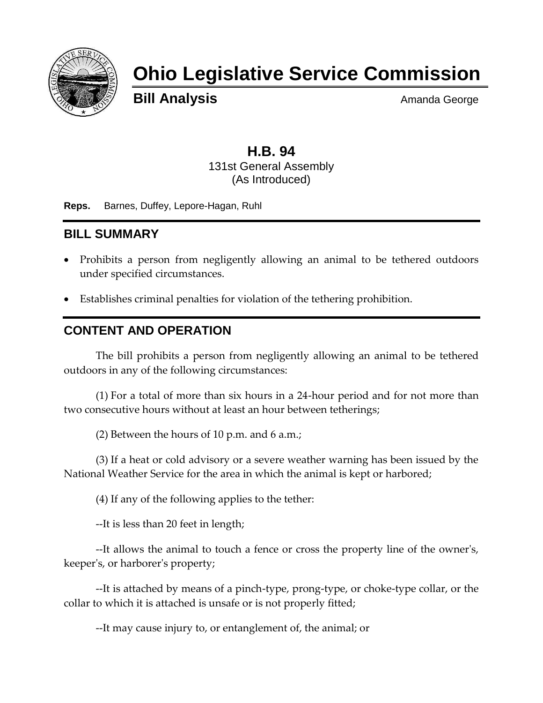

## **Ohio Legislative Service Commission**

**Bill Analysis** Amanda George

## **H.B. 94** 131st General Assembly (As Introduced)

**Reps.** Barnes, Duffey, Lepore-Hagan, Ruhl

## **BILL SUMMARY**

- Prohibits a person from negligently allowing an animal to be tethered outdoors under specified circumstances.
- Establishes criminal penalties for violation of the tethering prohibition.

## **CONTENT AND OPERATION**

The bill prohibits a person from negligently allowing an animal to be tethered outdoors in any of the following circumstances:

(1) For a total of more than six hours in a 24-hour period and for not more than two consecutive hours without at least an hour between tetherings;

(2) Between the hours of 10 p.m. and 6 a.m.;

(3) If a heat or cold advisory or a severe weather warning has been issued by the National Weather Service for the area in which the animal is kept or harbored;

(4) If any of the following applies to the tether:

--It is less than 20 feet in length;

--It allows the animal to touch a fence or cross the property line of the owner's, keeper's, or harborer's property;

--It is attached by means of a pinch-type, prong-type, or choke-type collar, or the collar to which it is attached is unsafe or is not properly fitted;

--It may cause injury to, or entanglement of, the animal; or